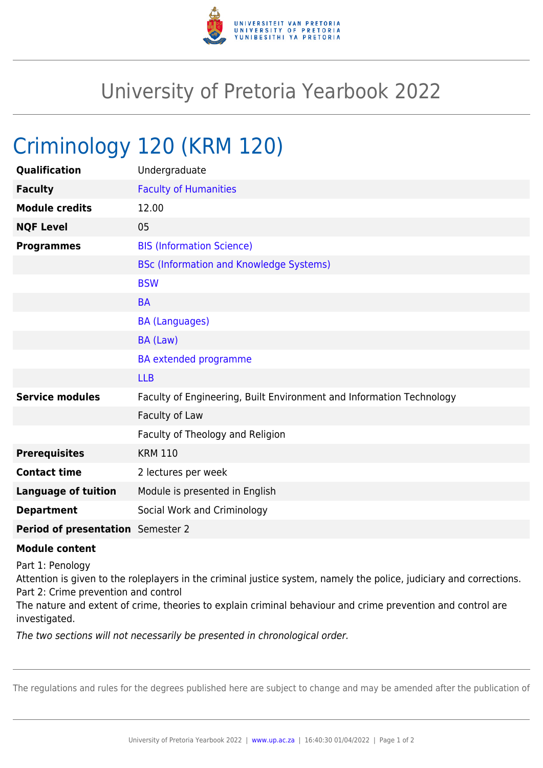

## University of Pretoria Yearbook 2022

## Criminology 120 (KRM 120)

| Qualification                     | Undergraduate                                                        |
|-----------------------------------|----------------------------------------------------------------------|
| <b>Faculty</b>                    | <b>Faculty of Humanities</b>                                         |
| <b>Module credits</b>             | 12.00                                                                |
| <b>NQF Level</b>                  | 05                                                                   |
| <b>Programmes</b>                 | <b>BIS (Information Science)</b>                                     |
|                                   | <b>BSc (Information and Knowledge Systems)</b>                       |
|                                   | <b>BSW</b>                                                           |
|                                   | <b>BA</b>                                                            |
|                                   | <b>BA (Languages)</b>                                                |
|                                   | BA (Law)                                                             |
|                                   | <b>BA</b> extended programme                                         |
|                                   | <b>LLB</b>                                                           |
| <b>Service modules</b>            | Faculty of Engineering, Built Environment and Information Technology |
|                                   | Faculty of Law                                                       |
|                                   | Faculty of Theology and Religion                                     |
| <b>Prerequisites</b>              | <b>KRM 110</b>                                                       |
| <b>Contact time</b>               | 2 lectures per week                                                  |
| <b>Language of tuition</b>        | Module is presented in English                                       |
| <b>Department</b>                 | Social Work and Criminology                                          |
| Period of presentation Semester 2 |                                                                      |

## **Module content**

Part 1: Penology

Attention is given to the roleplayers in the criminal justice system, namely the police, judiciary and corrections. Part 2: Crime prevention and control

The nature and extent of crime, theories to explain criminal behaviour and crime prevention and control are investigated.

The two sections will not necessarily be presented in chronological order.

The regulations and rules for the degrees published here are subject to change and may be amended after the publication of